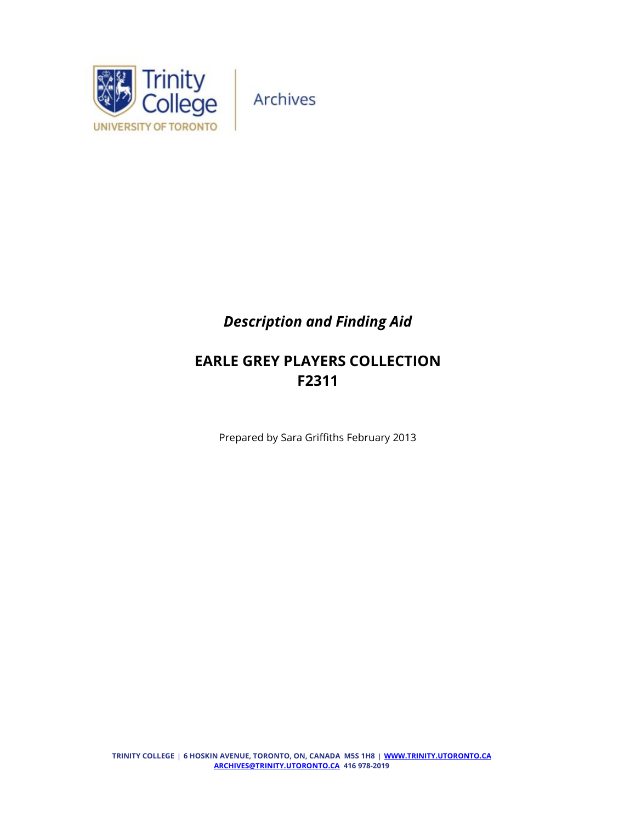

# *Description and Finding Aid*

# **EARLE GREY PLAYERS COLLECTION F2311**

Prepared by Sara Griffiths February 2013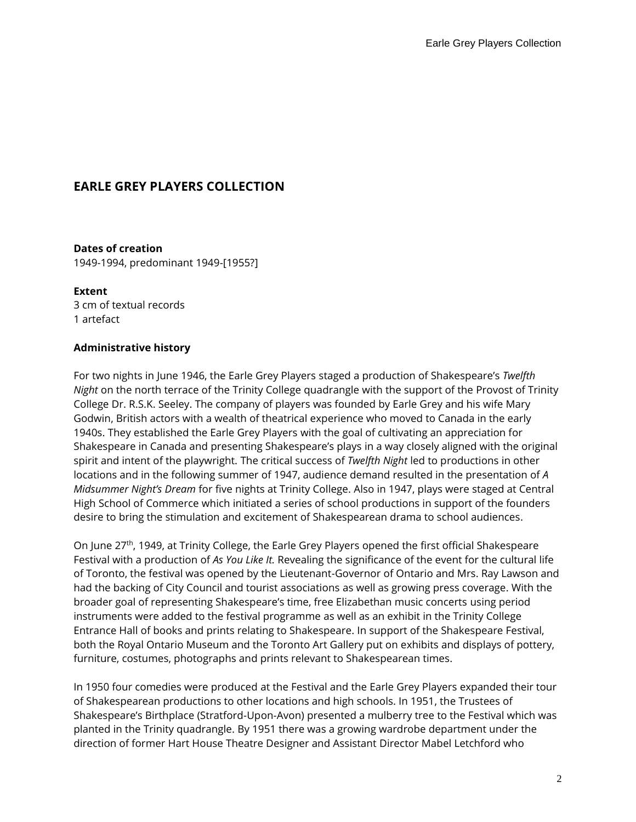## **EARLE GREY PLAYERS COLLECTION**

**Dates of creation** 1949-1994, predominant 1949-[1955?]

**Extent** 3 cm of textual records 1 artefact

### **Administrative history**

For two nights in June 1946, the Earle Grey Players staged a production of Shakespeare's *Twelfth Night* on the north terrace of the Trinity College quadrangle with the support of the Provost of Trinity College Dr. R.S.K. Seeley. The company of players was founded by Earle Grey and his wife Mary Godwin, British actors with a wealth of theatrical experience who moved to Canada in the early 1940s. They established the Earle Grey Players with the goal of cultivating an appreciation for Shakespeare in Canada and presenting Shakespeare's plays in a way closely aligned with the original spirit and intent of the playwright. The critical success of *Twelfth Night* led to productions in other locations and in the following summer of 1947, audience demand resulted in the presentation of *A Midsummer Night's Dream* for five nights at Trinity College. Also in 1947, plays were staged at Central High School of Commerce which initiated a series of school productions in support of the founders desire to bring the stimulation and excitement of Shakespearean drama to school audiences.

On June 27<sup>th</sup>, 1949, at Trinity College, the Earle Grey Players opened the first official Shakespeare Festival with a production of *As You Like It.* Revealing the significance of the event for the cultural life of Toronto, the festival was opened by the Lieutenant-Governor of Ontario and Mrs. Ray Lawson and had the backing of City Council and tourist associations as well as growing press coverage. With the broader goal of representing Shakespeare's time, free Elizabethan music concerts using period instruments were added to the festival programme as well as an exhibit in the Trinity College Entrance Hall of books and prints relating to Shakespeare. In support of the Shakespeare Festival, both the Royal Ontario Museum and the Toronto Art Gallery put on exhibits and displays of pottery, furniture, costumes, photographs and prints relevant to Shakespearean times.

In 1950 four comedies were produced at the Festival and the Earle Grey Players expanded their tour of Shakespearean productions to other locations and high schools. In 1951, the Trustees of Shakespeare's Birthplace (Stratford-Upon-Avon) presented a mulberry tree to the Festival which was planted in the Trinity quadrangle. By 1951 there was a growing wardrobe department under the direction of former Hart House Theatre Designer and Assistant Director Mabel Letchford who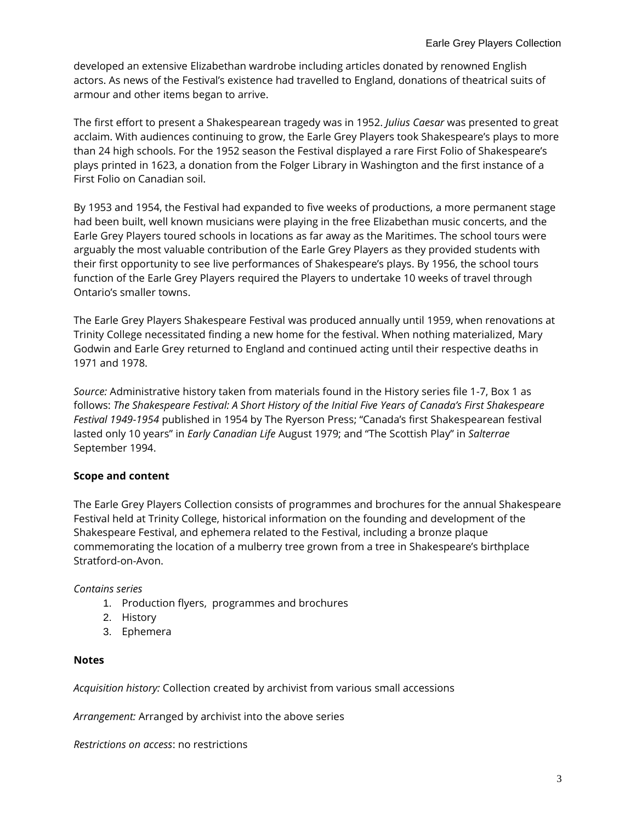developed an extensive Elizabethan wardrobe including articles donated by renowned English actors. As news of the Festival's existence had travelled to England, donations of theatrical suits of armour and other items began to arrive.

The first effort to present a Shakespearean tragedy was in 1952. *Julius Caesar* was presented to great acclaim. With audiences continuing to grow, the Earle Grey Players took Shakespeare's plays to more than 24 high schools. For the 1952 season the Festival displayed a rare First Folio of Shakespeare's plays printed in 1623, a donation from the Folger Library in Washington and the first instance of a First Folio on Canadian soil.

By 1953 and 1954, the Festival had expanded to five weeks of productions, a more permanent stage had been built, well known musicians were playing in the free Elizabethan music concerts, and the Earle Grey Players toured schools in locations as far away as the Maritimes. The school tours were arguably the most valuable contribution of the Earle Grey Players as they provided students with their first opportunity to see live performances of Shakespeare's plays. By 1956, the school tours function of the Earle Grey Players required the Players to undertake 10 weeks of travel through Ontario's smaller towns.

The Earle Grey Players Shakespeare Festival was produced annually until 1959, when renovations at Trinity College necessitated finding a new home for the festival. When nothing materialized, Mary Godwin and Earle Grey returned to England and continued acting until their respective deaths in 1971 and 1978.

*Source:* Administrative history taken from materials found in the History series file 1-7, Box 1 as follows: *The Shakespeare Festival: A Short History of the Initial Five Years of Canada's First Shakespeare Festival 1949-1954* published in 1954 by The Ryerson Press; "Canada's first Shakespearean festival lasted only 10 years" in *Early Canadian Life* August 1979; and "The Scottish Play" in *Salterrae* September 1994.

## **Scope and content**

The Earle Grey Players Collection consists of programmes and brochures for the annual Shakespeare Festival held at Trinity College, historical information on the founding and development of the Shakespeare Festival, and ephemera related to the Festival, including a bronze plaque commemorating the location of a mulberry tree grown from a tree in Shakespeare's birthplace Stratford-on-Avon.

#### *Contains series*

- 1. Production flyers, programmes and brochures
- 2. History
- 3. Ephemera

## **Notes**

*Acquisition history:* Collection created by archivist from various small accessions

*Arrangement:* Arranged by archivist into the above series

*Restrictions on access*: no restrictions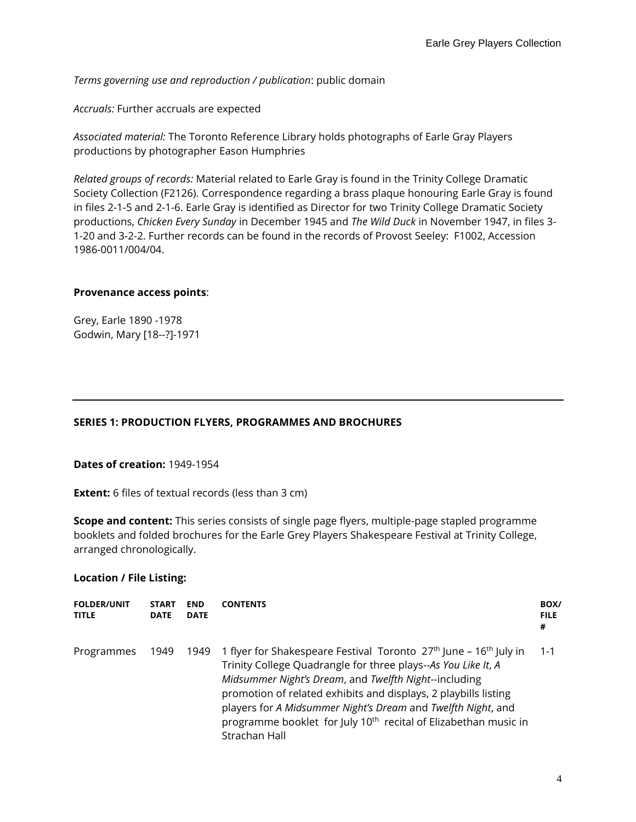*Terms governing use and reproduction / publication*: public domain

*Accruals:* Further accruals are expected

*Associated material:* The Toronto Reference Library holds photographs of Earle Gray Players productions by photographer Eason Humphries

*Related groups of records:* Material related to Earle Gray is found in the Trinity College Dramatic Society Collection (F2126). Correspondence regarding a brass plaque honouring Earle Gray is found in files 2-1-5 and 2-1-6. Earle Gray is identified as Director for two Trinity College Dramatic Society productions, *Chicken Every Sunday* in December 1945 and *The Wild Duck* in November 1947, in files 3- 1-20 and 3-2-2. Further records can be found in the records of Provost Seeley: F1002, Accession 1986-0011/004/04.

## **Provenance access points**:

Grey, Earle 1890 -1978 Godwin, Mary [18--?]-1971

## **SERIES 1: PRODUCTION FLYERS, PROGRAMMES AND BROCHURES**

**Dates of creation:** 1949-1954

**Extent:** 6 files of textual records (less than 3 cm)

**Scope and content:** This series consists of single page flyers, multiple-page stapled programme booklets and folded brochures for the Earle Grey Players Shakespeare Festival at Trinity College, arranged chronologically.

## **Location / File Listing:**

| <b>FOLDER/UNIT</b><br><b>TITLE</b> | <b>START</b><br><b>DATE</b> | <b>END</b><br><b>DATE</b> | <b>CONTENTS</b>                                                                                                                                                                                                                                                                                                                                                                                                                                             | BOX/<br><b>FILE</b><br># |
|------------------------------------|-----------------------------|---------------------------|-------------------------------------------------------------------------------------------------------------------------------------------------------------------------------------------------------------------------------------------------------------------------------------------------------------------------------------------------------------------------------------------------------------------------------------------------------------|--------------------------|
| Programmes                         | 1949                        |                           | 1949 1 flyer for Shakespeare Festival Toronto 27 <sup>th</sup> June – 16 <sup>th</sup> July in<br>Trinity College Quadrangle for three plays--As You Like It, A<br>Midsummer Night's Dream, and Twelfth Night--including<br>promotion of related exhibits and displays, 2 playbills listing<br>players for A Midsummer Night's Dream and Twelfth Night, and<br>programme booklet for July 10 <sup>th</sup> recital of Elizabethan music in<br>Strachan Hall | $1 - 1$                  |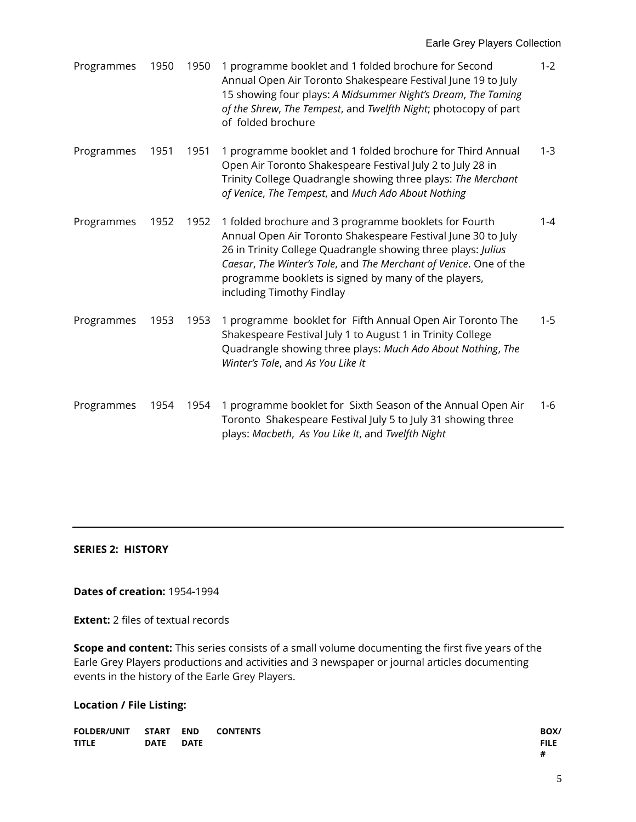#### Earle Grey Players Collection

| Programmes | 1950 | 1950 | 1 programme booklet and 1 folded brochure for Second<br>Annual Open Air Toronto Shakespeare Festival June 19 to July<br>15 showing four plays: A Midsummer Night's Dream, The Taming<br>of the Shrew, The Tempest, and Twelfth Night; photocopy of part<br>of folded brochure                                                                   | $1 - 2$ |
|------------|------|------|-------------------------------------------------------------------------------------------------------------------------------------------------------------------------------------------------------------------------------------------------------------------------------------------------------------------------------------------------|---------|
| Programmes | 1951 | 1951 | 1 programme booklet and 1 folded brochure for Third Annual<br>Open Air Toronto Shakespeare Festival July 2 to July 28 in<br>Trinity College Quadrangle showing three plays: The Merchant<br>of Venice, The Tempest, and Much Ado About Nothing                                                                                                  | $1 - 3$ |
| Programmes | 1952 | 1952 | 1 folded brochure and 3 programme booklets for Fourth<br>Annual Open Air Toronto Shakespeare Festival June 30 to July<br>26 in Trinity College Quadrangle showing three plays: Julius<br>Caesar, The Winter's Tale, and The Merchant of Venice. One of the<br>programme booklets is signed by many of the players,<br>including Timothy Findlay | $1 - 4$ |
| Programmes | 1953 | 1953 | 1 programme booklet for Fifth Annual Open Air Toronto The<br>Shakespeare Festival July 1 to August 1 in Trinity College<br>Quadrangle showing three plays: Much Ado About Nothing, The<br>Winter's Tale, and As You Like It                                                                                                                     | $1 - 5$ |
| Programmes | 1954 | 1954 | 1 programme booklet for Sixth Season of the Annual Open Air<br>Toronto Shakespeare Festival July 5 to July 31 showing three<br>plays: Macbeth, As You Like It, and Twelfth Night                                                                                                                                                                | 1-6     |

## **SERIES 2: HISTORY**

## **Dates of creation:** 1954**-**1994

**Extent:** 2 files of textual records

**Scope and content:** This series consists of a small volume documenting the first five years of the Earle Grey Players productions and activities and 3 newspaper or journal articles documenting events in the history of the Earle Grey Players.

## **Location / File Listing:**

| FOLDER/UNIT START END |             |      | <b>CONTENTS</b> | BOX/        |
|-----------------------|-------------|------|-----------------|-------------|
| <b>TITLE</b>          | <b>DATE</b> | DATE |                 | <b>FILE</b> |
|                       |             |      |                 | #           |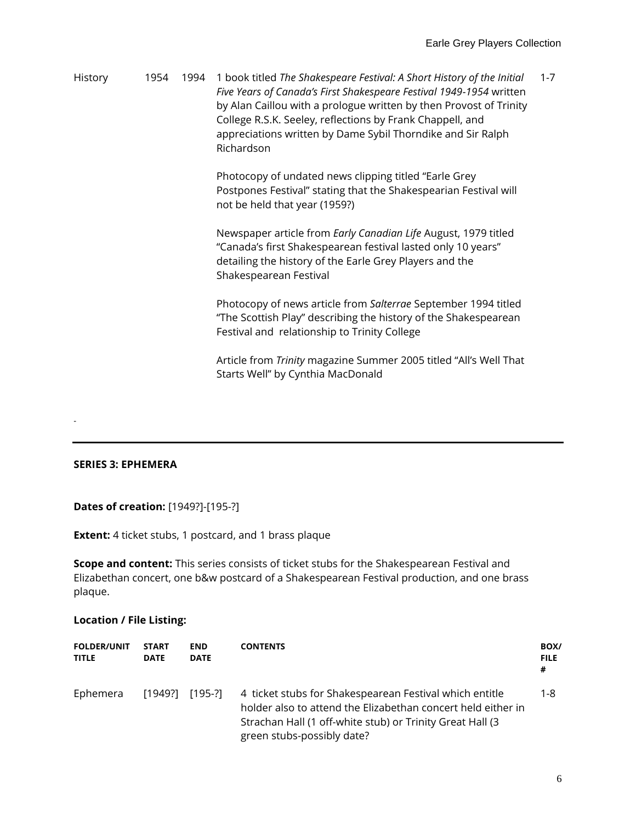History 1954 1994 1 book titled *The Shakespeare Festival: A Short History of the Initial Five Years of Canada's First Shakespeare Festival 1949-1954* written by Alan Caillou with a prologue written by then Provost of Trinity College R.S.K. Seeley, reflections by Frank Chappell, and appreciations written by Dame Sybil Thorndike and Sir Ralph Richardson 1-7

> Photocopy of undated news clipping titled "Earle Grey Postpones Festival" stating that the Shakespearian Festival will not be held that year (1959?)

Newspaper article from *Early Canadian Life* August, 1979 titled "Canada's first Shakespearean festival lasted only 10 years" detailing the history of the Earle Grey Players and the Shakespearean Festival

Photocopy of news article from *Salterrae* September 1994 titled "The Scottish Play" describing the history of the Shakespearean Festival and relationship to Trinity College

Article from *Trinity* magazine Summer 2005 titled "All's Well That Starts Well" by Cynthia MacDonald

## **SERIES 3: EPHEMERA**

-

**Dates of creation:** [1949?]-[195-?]

**Extent:** 4 ticket stubs, 1 postcard, and 1 brass plaque

**Scope and content:** This series consists of ticket stubs for the Shakespearean Festival and Elizabethan concert, one b&w postcard of a Shakespearean Festival production, and one brass plaque.

## **Location / File Listing:**

| <b>FOLDER/UNIT</b><br><b>TITLE</b> | <b>START</b><br><b>DATE</b> | <b>END</b><br><b>DATE</b> | <b>CONTENTS</b>                                                                                                                                                                                                    | BOX/<br><b>FILE</b><br># |
|------------------------------------|-----------------------------|---------------------------|--------------------------------------------------------------------------------------------------------------------------------------------------------------------------------------------------------------------|--------------------------|
| Ephemera                           | [1949?] [195-?]             |                           | 4 ticket stubs for Shakespearean Festival which entitle<br>holder also to attend the Elizabethan concert held either in<br>Strachan Hall (1 off-white stub) or Trinity Great Hall (3<br>green stubs-possibly date? | 1-8                      |